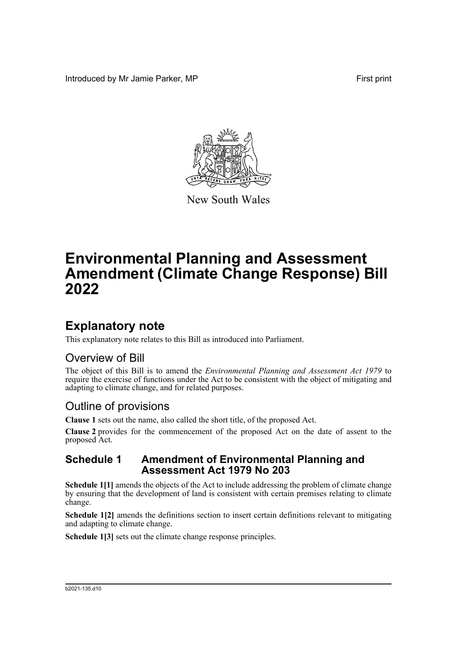Introduced by Mr Jamie Parker, MP **First print** First print



New South Wales

# **Environmental Planning and Assessment Amendment (Climate Change Response) Bill 2022**

## **Explanatory note**

This explanatory note relates to this Bill as introduced into Parliament.

### Overview of Bill

The object of this Bill is to amend the *Environmental Planning and Assessment Act 1979* to require the exercise of functions under the Act to be consistent with the object of mitigating and adapting to climate change, and for related purposes.

### Outline of provisions

**Clause 1** sets out the name, also called the short title, of the proposed Act.

**Clause 2** provides for the commencement of the proposed Act on the date of assent to the proposed Act.

### **Schedule 1 Amendment of Environmental Planning and Assessment Act 1979 No 203**

**Schedule 1[1]** amends the objects of the Act to include addressing the problem of climate change by ensuring that the development of land is consistent with certain premises relating to climate change.

**Schedule 1[2]** amends the definitions section to insert certain definitions relevant to mitigating and adapting to climate change.

**Schedule 1[3]** sets out the climate change response principles.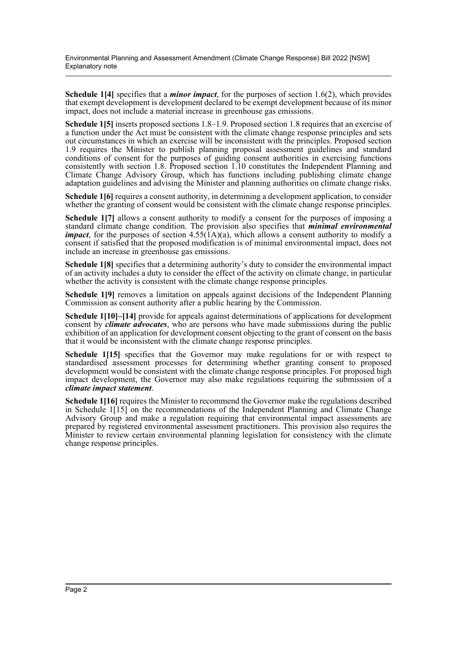Environmental Planning and Assessment Amendment (Climate Change Response) Bill 2022 [NSW] Explanatory note

**Schedule 1[4]** specifies that a *minor impact*, for the purposes of section 1.6(2), which provides that exempt development is development declared to be exempt development because of its minor impact, does not include a material increase in greenhouse gas emissions.

**Schedule 1[5]** inserts proposed sections 1.8–1.9. Proposed section 1.8 requires that an exercise of a function under the Act must be consistent with the climate change response principles and sets out circumstances in which an exercise will be inconsistent with the principles. Proposed section 1.9 requires the Minister to publish planning proposal assessment guidelines and standard conditions of consent for the purposes of guiding consent authorities in exercising functions consistently with section 1.8. Proposed section 1.10 constitutes the Independent Planning and Climate Change Advisory Group, which has functions including publishing climate change adaptation guidelines and advising the Minister and planning authorities on climate change risks.

**Schedule 1[6]** requires a consent authority, in determining a development application, to consider whether the granting of consent would be consistent with the climate change response principles.

**Schedule 1[7]** allows a consent authority to modify a consent for the purposes of imposing a standard climate change condition. The provision also specifies that *minimal environmental impact*, for the purposes of section  $4.55(1A)(a)$ , which allows a consent authority to modify a consent if satisfied that the proposed modification is of minimal environmental impact, does not include an increase in greenhouse gas emissions.

**Schedule 1[8]** specifies that a determining authority's duty to consider the environmental impact of an activity includes a duty to consider the effect of the activity on climate change, in particular whether the activity is consistent with the climate change response principles.

**Schedule 1[9]** removes a limitation on appeals against decisions of the Independent Planning Commission as consent authority after a public hearing by the Commission.

**Schedule 1[10]–[14]** provide for appeals against determinations of applications for development consent by *climate advocates*, who are persons who have made submissions during the public exhibition of an application for development consent objecting to the grant of consent on the basis that it would be inconsistent with the climate change response principles.

**Schedule 1[15]** specifies that the Governor may make regulations for or with respect to standardised assessment processes for determining whether granting consent to proposed development would be consistent with the climate change response principles. For proposed high impact development, the Governor may also make regulations requiring the submission of a *climate impact statement*.

**Schedule 1[16]** requires the Minister to recommend the Governor make the regulations described in Schedule 1[15] on the recommendations of the Independent Planning and Climate Change Advisory Group and make a regulation requiring that environmental impact assessments are prepared by registered environmental assessment practitioners. This provision also requires the Minister to review certain environmental planning legislation for consistency with the climate change response principles.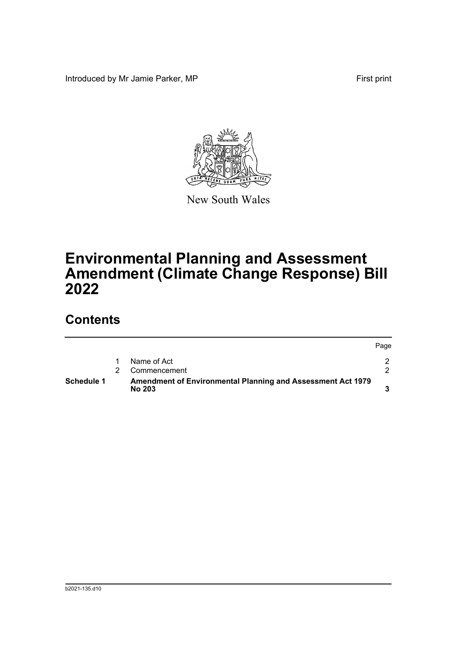Introduced by Mr Jamie Parker, MP First print



New South Wales

# **Environmental Planning and Assessment Amendment (Climate Change Response) Bill 2022**

## **Contents**

| Schedule 1 | Amendment of Environmental Planning and Assessment Act 1979<br><b>No 203</b> |      |
|------------|------------------------------------------------------------------------------|------|
|            | Commencement                                                                 |      |
|            | Name of Act                                                                  |      |
|            |                                                                              | Page |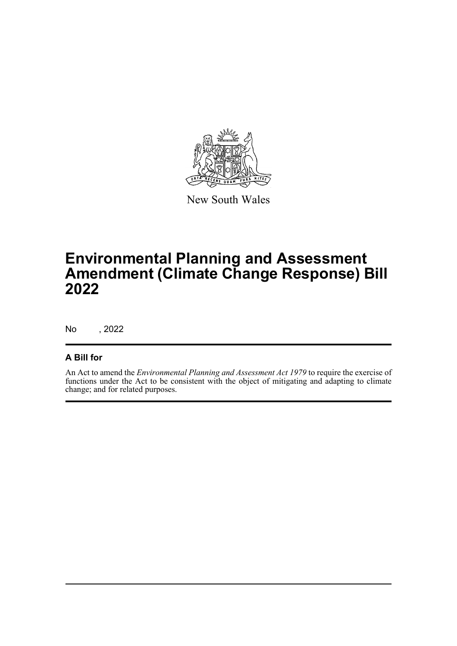

New South Wales

# **Environmental Planning and Assessment Amendment (Climate Change Response) Bill 2022**

No , 2022

#### **A Bill for**

An Act to amend the *Environmental Planning and Assessment Act 1979* to require the exercise of functions under the Act to be consistent with the object of mitigating and adapting to climate change; and for related purposes.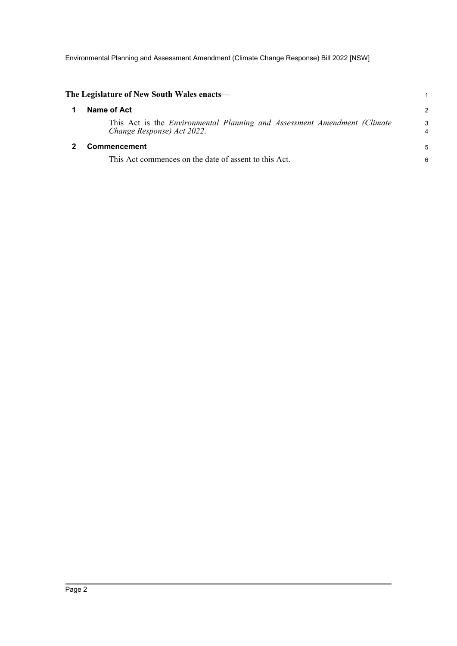Environmental Planning and Assessment Amendment (Climate Change Response) Bill 2022 [NSW]

<span id="page-4-1"></span><span id="page-4-0"></span>

| The Legislature of New South Wales enacts—                                                             |        |
|--------------------------------------------------------------------------------------------------------|--------|
| Name of Act                                                                                            | 2      |
| This Act is the Environmental Planning and Assessment Amendment (Climate<br>Change Response) Act 2022. | 3<br>4 |
| <b>Commencement</b>                                                                                    | 5      |
| This Act commences on the date of assent to this Act.                                                  | 6      |
|                                                                                                        |        |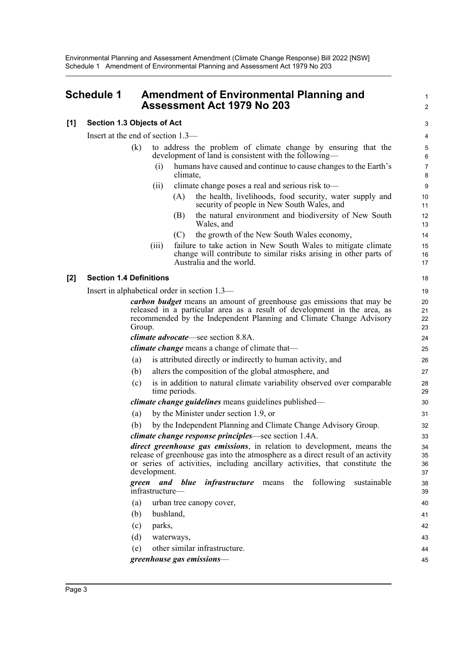### <span id="page-5-0"></span>**Schedule 1 Amendment of Environmental Planning and Assessment Act 1979 No 203**

#### **[1] Section 1.3 Objects of Act**

Insert at the end of section 1.3—

| (k) |      | to address the problem of climate change by ensuring that the<br>development of land is consistent with the following- |
|-----|------|------------------------------------------------------------------------------------------------------------------------|
|     | (1)  | humans have caused and continue to cause changes to the Earth's<br>climate,                                            |
|     | (11) | climate change poses a real and serious risk to-<br>the health, livelihoods, food security, water supply and<br>(A)    |

1  $\overline{2}$ 

- security of people in New South Wales, and (B) the natural environment and biodiversity of New South Wales, and (C) the growth of the New South Wales economy, (iii) failure to take action in New South Wales to mitigate climate change will contribute to similar risks arising in other parts of Australia and the world. **[2] Section 1.4 Definitions** Insert in alphabetical order in section 1.3 *carbon budget* means an amount of greenhouse gas emissions that may be released in a particular area as a result of development in the area, as recommended by the Independent Planning and Climate Change Advisory Group. *climate advocate*—see section 8.8A. *climate change* means a change of climate that— (a) is attributed directly or indirectly to human activity, and (b) alters the composition of the global atmosphere, and (c) is in addition to natural climate variability observed over comparable time periods. *climate change guidelines* means guidelines published— (a) by the Minister under section 1.9, or (b) by the Independent Planning and Climate Change Advisory Group. *climate change response principles*—see section 1.4A. *direct greenhouse gas emissions*, in relation to development, means the release of greenhouse gas into the atmosphere as a direct result of an activity or series of activities, including ancillary activities, that constitute the development. *green and blue infrastructure* means the following sustainable infrastructure— 10 11 12 13 14 15 16 17 18 19 20 21 22 23 24 25 26 27 28 29 30 31 32 33 34 35 36 37 38
	- (a) urban tree canopy cover, (b) bushland, (c) parks, (d) waterways, (e) other similar infrastructure. *greenhouse gas emissions*— 39  $40$ 41 42 43 44 45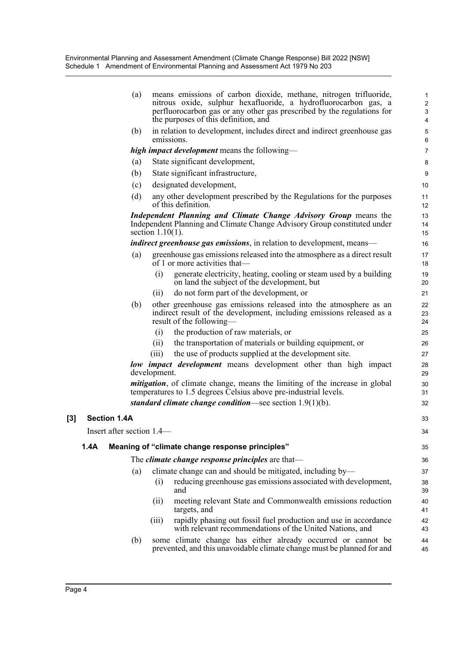| (a)                          |                     | means emissions of carbon dioxide, methane, nitrogen trifluoride,<br>nitrous oxide, sulphur hexafluoride, a hydrofluorocarbon gas, a<br>perfluorocarbon gas or any other gas prescribed by the regulations for<br>the purposes of this definition, and | $\mathbf{1}$<br>$\overline{2}$<br>3<br>4 |
|------------------------------|---------------------|--------------------------------------------------------------------------------------------------------------------------------------------------------------------------------------------------------------------------------------------------------|------------------------------------------|
| (b)                          | emissions.          | in relation to development, includes direct and indirect greenhouse gas                                                                                                                                                                                | $\mathbf 5$<br>$\,6\,$                   |
|                              |                     | high impact development means the following-                                                                                                                                                                                                           | $\overline{7}$                           |
| (a)                          |                     | State significant development,                                                                                                                                                                                                                         | 8                                        |
| (b)                          |                     | State significant infrastructure,                                                                                                                                                                                                                      | 9                                        |
| (c)                          |                     | designated development,                                                                                                                                                                                                                                | 10                                       |
| (d)                          |                     | any other development prescribed by the Regulations for the purposes<br>of this definition.                                                                                                                                                            | 11<br>12                                 |
|                              | section $1.10(1)$ . | Independent Planning and Climate Change Advisory Group means the<br>Independent Planning and Climate Change Advisory Group constituted under                                                                                                           | 13<br>14<br>15                           |
|                              |                     | <i>indirect greenhouse gas emissions</i> , in relation to development, means—                                                                                                                                                                          | 16                                       |
| (a)                          |                     | greenhouse gas emissions released into the atmosphere as a direct result<br>of 1 or more activities that—                                                                                                                                              | 17<br>18                                 |
|                              | (i)                 | generate electricity, heating, cooling or steam used by a building<br>on land the subject of the development, but                                                                                                                                      | 19<br>20                                 |
|                              | (i)                 | do not form part of the development, or                                                                                                                                                                                                                | 21                                       |
| (b)                          |                     | other greenhouse gas emissions released into the atmosphere as an<br>indirect result of the development, including emissions released as a<br>result of the following—                                                                                 | 22<br>23<br>24                           |
|                              | (i)                 | the production of raw materials, or                                                                                                                                                                                                                    | 25                                       |
|                              | (ii)                | the transportation of materials or building equipment, or                                                                                                                                                                                              | 26                                       |
|                              | (iii)               | the use of products supplied at the development site.                                                                                                                                                                                                  | 27                                       |
|                              | development.        | low impact development means development other than high impact                                                                                                                                                                                        | 28<br>29                                 |
|                              |                     | <i>mitigation</i> , of climate change, means the limiting of the increase in global<br>temperatures to 1.5 degrees Celsius above pre-industrial levels.                                                                                                | 30<br>31                                 |
|                              |                     | standard climate change condition—see section $1.9(1)(b)$ .                                                                                                                                                                                            | 32                                       |
| $[3]$<br><b>Section 1.4A</b> |                     |                                                                                                                                                                                                                                                        | 33                                       |
| Insert after section 1.4—    |                     |                                                                                                                                                                                                                                                        | 34                                       |
| 1.4A                         |                     | Meaning of "climate change response principles"                                                                                                                                                                                                        | 35                                       |
|                              |                     | The <i>climate change response principles</i> are that-                                                                                                                                                                                                | 36                                       |
| (a)                          |                     | climate change can and should be mitigated, including by-                                                                                                                                                                                              | 37                                       |
|                              | (i)                 | reducing greenhouse gas emissions associated with development,<br>and                                                                                                                                                                                  | 38<br>39                                 |
|                              | (ii)                | meeting relevant State and Commonwealth emissions reduction<br>targets, and                                                                                                                                                                            | 40<br>41                                 |
|                              | (iii)               | rapidly phasing out fossil fuel production and use in accordance<br>with relevant recommendations of the United Nations, and                                                                                                                           | 42<br>43                                 |
| (b)                          |                     | some climate change has either already occurred or cannot be<br>prevented, and this unavoidable climate change must be planned for and                                                                                                                 | 44<br>45                                 |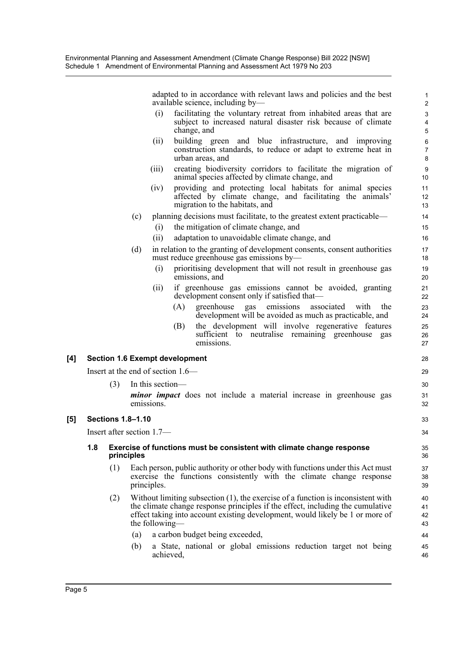adapted to in accordance with relevant laws and policies and the best available science, including by—

- (i) facilitating the voluntary retreat from inhabited areas that are subject to increased natural disaster risk because of climate change, and
- (ii) building green and blue infrastructure, and improving construction standards, to reduce or adapt to extreme heat in urban areas, and
- (iii) creating biodiversity corridors to facilitate the migration of animal species affected by climate change, and
- (iv) providing and protecting local habitats for animal species affected by climate change, and facilitating the animals' migration to the habitats, and
- (c) planning decisions must facilitate, to the greatest extent practicable—
	- (i) the mitigation of climate change, and
	- (ii) adaptation to unavoidable climate change, and
- (d) in relation to the granting of development consents, consent authorities must reduce greenhouse gas emissions by—
	- (i) prioritising development that will not result in greenhouse gas emissions, and
	- (ii) if greenhouse gas emissions cannot be avoided, granting development consent only if satisfied that—
		- (A) greenhouse gas emissions associated with the development will be avoided as much as practicable, and
		- (B) the development will involve regenerative features sufficient to neutralise remaining greenhouse gas emissions.

#### **[4] Section 1.6 Exempt development**

Insert at the end of section 1.6—

(3) In this section *minor impact* does not include a material increase in greenhouse gas emissions.

#### **[5] Sections 1.8–1.10**

Insert after section 1.7—

#### **1.8 Exercise of functions must be consistent with climate change response principles**

- (1) Each person, public authority or other body with functions under this Act must exercise the functions consistently with the climate change response principles.
- (2) Without limiting subsection (1), the exercise of a function is inconsistent with the climate change response principles if the effect, including the cumulative effect taking into account existing development, would likely be 1 or more of the following—
	- (a) a carbon budget being exceeded,
	- (b) a State, national or global emissions reduction target not being achieved,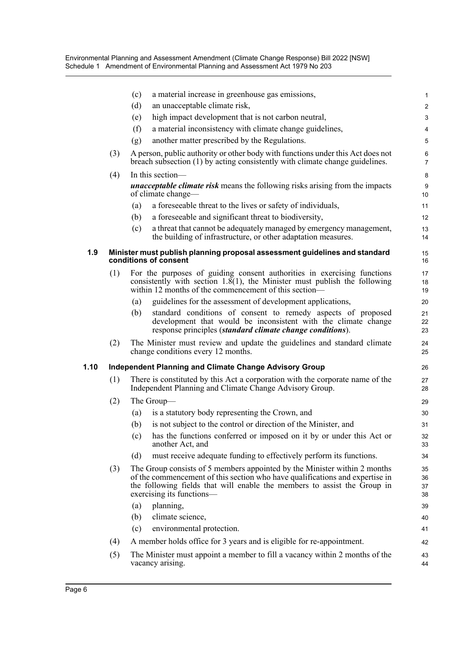Environmental Planning and Assessment Amendment (Climate Change Response) Bill 2022 [NSW] Schedule 1 Amendment of Environmental Planning and Assessment Act 1979 No 203

|      |                                                                                                     | (c)<br>a material increase in greenhouse gas emissions,                                                                                                                                                                                                            | $\mathbf{1}$              |  |  |  |  |
|------|-----------------------------------------------------------------------------------------------------|--------------------------------------------------------------------------------------------------------------------------------------------------------------------------------------------------------------------------------------------------------------------|---------------------------|--|--|--|--|
|      |                                                                                                     | (d)<br>an unacceptable climate risk,                                                                                                                                                                                                                               | $\overline{c}$            |  |  |  |  |
|      |                                                                                                     | high impact development that is not carbon neutral,<br>(e)                                                                                                                                                                                                         | 3                         |  |  |  |  |
|      |                                                                                                     | (f)<br>a material inconsistency with climate change guidelines,                                                                                                                                                                                                    | $\overline{4}$            |  |  |  |  |
|      |                                                                                                     | another matter prescribed by the Regulations.<br>(g)                                                                                                                                                                                                               | 5                         |  |  |  |  |
|      | (3)                                                                                                 | A person, public authority or other body with functions under this Act does not<br>breach subsection (1) by acting consistently with climate change guidelines.                                                                                                    | $\,6\,$<br>$\overline{7}$ |  |  |  |  |
|      | (4)                                                                                                 | In this section-                                                                                                                                                                                                                                                   | 8                         |  |  |  |  |
|      |                                                                                                     | <b>unacceptable climate risk</b> means the following risks arising from the impacts<br>of climate change—                                                                                                                                                          | 9<br>10                   |  |  |  |  |
|      |                                                                                                     | a foreseeable threat to the lives or safety of individuals,<br>(a)                                                                                                                                                                                                 | 11                        |  |  |  |  |
|      |                                                                                                     | (b)<br>a foreseeable and significant threat to biodiversity,                                                                                                                                                                                                       | 12                        |  |  |  |  |
|      |                                                                                                     | (c)<br>a threat that cannot be adequately managed by emergency management,<br>the building of infrastructure, or other adaptation measures.                                                                                                                        | 13<br>14                  |  |  |  |  |
| 1.9  | Minister must publish planning proposal assessment guidelines and standard<br>conditions of consent |                                                                                                                                                                                                                                                                    |                           |  |  |  |  |
|      | (1)                                                                                                 | For the purposes of guiding consent authorities in exercising functions<br>consistently with section 1. $\delta(1)$ , the Minister must publish the following<br>within 12 months of the commencement of this section—                                             | 17<br>18<br>19            |  |  |  |  |
|      |                                                                                                     | guidelines for the assessment of development applications,<br>(a)                                                                                                                                                                                                  | 20                        |  |  |  |  |
|      |                                                                                                     | standard conditions of consent to remedy aspects of proposed<br>(b)<br>development that would be inconsistent with the climate change<br>response principles (standard climate change conditions).                                                                 | 21<br>22<br>23            |  |  |  |  |
|      | (2)                                                                                                 | The Minister must review and update the guidelines and standard climate<br>change conditions every 12 months.                                                                                                                                                      | 24<br>25                  |  |  |  |  |
| 1.10 |                                                                                                     | <b>Independent Planning and Climate Change Advisory Group</b>                                                                                                                                                                                                      | 26                        |  |  |  |  |
|      | (1)                                                                                                 | There is constituted by this Act a corporation with the corporate name of the<br>Independent Planning and Climate Change Advisory Group.                                                                                                                           | 27<br>28                  |  |  |  |  |
|      | (2)                                                                                                 | The Group-                                                                                                                                                                                                                                                         | 29                        |  |  |  |  |
|      |                                                                                                     | is a statutory body representing the Crown, and<br>(a)                                                                                                                                                                                                             | 30                        |  |  |  |  |
|      |                                                                                                     | (b)<br>is not subject to the control or direction of the Minister, and                                                                                                                                                                                             | 31                        |  |  |  |  |
|      |                                                                                                     | has the functions conferred or imposed on it by or under this Act or<br>(c)<br>another Act, and                                                                                                                                                                    | 32<br>33                  |  |  |  |  |
|      |                                                                                                     | must receive adequate funding to effectively perform its functions.<br>(d)                                                                                                                                                                                         | 34                        |  |  |  |  |
|      | (3)                                                                                                 | The Group consists of 5 members appointed by the Minister within 2 months<br>of the commencement of this section who have qualifications and expertise in<br>the following fields that will enable the members to assist the Group in<br>exercising its functions— |                           |  |  |  |  |
|      |                                                                                                     | planning,<br>(a)                                                                                                                                                                                                                                                   | 39                        |  |  |  |  |
|      |                                                                                                     | (b)<br>climate science,                                                                                                                                                                                                                                            | 40                        |  |  |  |  |
|      |                                                                                                     | (c)<br>environmental protection.                                                                                                                                                                                                                                   | 41                        |  |  |  |  |
|      | (4)                                                                                                 | A member holds office for 3 years and is eligible for re-appointment.                                                                                                                                                                                              | 42                        |  |  |  |  |
|      | (5)                                                                                                 | The Minister must appoint a member to fill a vacancy within 2 months of the<br>vacancy arising.                                                                                                                                                                    | 43<br>44                  |  |  |  |  |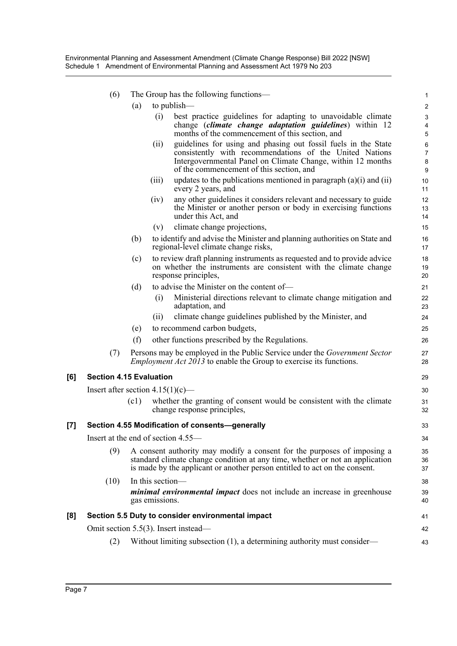|     | (6)                                                                                                                                                                                                                                          | The Group has the following functions—            |                                                                                                                                                                                                                                      | 1                          |  |  |
|-----|----------------------------------------------------------------------------------------------------------------------------------------------------------------------------------------------------------------------------------------------|---------------------------------------------------|--------------------------------------------------------------------------------------------------------------------------------------------------------------------------------------------------------------------------------------|----------------------------|--|--|
|     |                                                                                                                                                                                                                                              | to publish—<br>(a)                                |                                                                                                                                                                                                                                      | 2                          |  |  |
|     |                                                                                                                                                                                                                                              | (i)                                               | best practice guidelines for adapting to unavoidable climate<br>change <i>(climate change adaptation guidelines)</i> within 12<br>months of the commencement of this section, and                                                    | 3<br>4<br>5                |  |  |
|     |                                                                                                                                                                                                                                              | (i)                                               | guidelines for using and phasing out fossil fuels in the State<br>consistently with recommendations of the United Nations<br>Intergovernmental Panel on Climate Change, within 12 months<br>of the commencement of this section, and | 6<br>7<br>$\bf 8$<br>$9\,$ |  |  |
|     |                                                                                                                                                                                                                                              | (iii)                                             | updates to the publications mentioned in paragraph $(a)(i)$ and $(ii)$<br>every 2 years, and                                                                                                                                         | 10<br>11                   |  |  |
|     |                                                                                                                                                                                                                                              | (iv)                                              | any other guidelines it considers relevant and necessary to guide<br>the Minister or another person or body in exercising functions<br>under this Act, and                                                                           | 12<br>13<br>14             |  |  |
|     |                                                                                                                                                                                                                                              | (v)                                               | climate change projections,                                                                                                                                                                                                          | 15                         |  |  |
|     |                                                                                                                                                                                                                                              | (b)                                               | to identify and advise the Minister and planning authorities on State and<br>regional-level climate change risks,                                                                                                                    | 16<br>17                   |  |  |
|     |                                                                                                                                                                                                                                              | (c)<br>response principles,                       | to review draft planning instruments as requested and to provide advice<br>on whether the instruments are consistent with the climate change                                                                                         | 18<br>19<br>20             |  |  |
|     |                                                                                                                                                                                                                                              | (d)                                               | to advise the Minister on the content of-                                                                                                                                                                                            | 21                         |  |  |
|     |                                                                                                                                                                                                                                              | (i)<br>adaptation, and                            | Ministerial directions relevant to climate change mitigation and                                                                                                                                                                     | 22<br>23                   |  |  |
|     |                                                                                                                                                                                                                                              | (11)                                              | climate change guidelines published by the Minister, and                                                                                                                                                                             | 24                         |  |  |
|     |                                                                                                                                                                                                                                              | (e)                                               | to recommend carbon budgets,                                                                                                                                                                                                         | 25                         |  |  |
|     |                                                                                                                                                                                                                                              | (f)                                               | other functions prescribed by the Regulations.                                                                                                                                                                                       | 26                         |  |  |
|     | (7)                                                                                                                                                                                                                                          |                                                   | Persons may be employed in the Public Service under the <i>Government Sector</i><br><i>Employment Act 2013</i> to enable the Group to exercise its functions.                                                                        | 27<br>28                   |  |  |
| [6] |                                                                                                                                                                                                                                              | <b>Section 4.15 Evaluation</b>                    |                                                                                                                                                                                                                                      | 29                         |  |  |
|     | Insert after section $4.15(1)(c)$ —                                                                                                                                                                                                          |                                                   |                                                                                                                                                                                                                                      |                            |  |  |
|     |                                                                                                                                                                                                                                              | (c1)<br>change response principles,               | whether the granting of consent would be consistent with the climate                                                                                                                                                                 | 30<br>31<br>32             |  |  |
| [7] |                                                                                                                                                                                                                                              | Section 4.55 Modification of consents-generally   |                                                                                                                                                                                                                                      | 33                         |  |  |
|     | Insert at the end of section 4.55-                                                                                                                                                                                                           |                                                   |                                                                                                                                                                                                                                      |                            |  |  |
|     | A consent authority may modify a consent for the purposes of imposing a<br>(9)<br>standard climate change condition at any time, whether or not an application<br>is made by the applicant or another person entitled to act on the consent. |                                                   |                                                                                                                                                                                                                                      |                            |  |  |
|     | (10)                                                                                                                                                                                                                                         | In this section-<br>gas emissions.                | <i>minimal environmental impact</i> does not include an increase in greenhouse                                                                                                                                                       | 38<br>39<br>40             |  |  |
| [8] |                                                                                                                                                                                                                                              | Section 5.5 Duty to consider environmental impact |                                                                                                                                                                                                                                      | 41                         |  |  |
|     |                                                                                                                                                                                                                                              | Omit section 5.5(3). Insert instead—              |                                                                                                                                                                                                                                      | 42                         |  |  |
|     | (2)                                                                                                                                                                                                                                          |                                                   | Without limiting subsection (1), a determining authority must consider-                                                                                                                                                              | 43                         |  |  |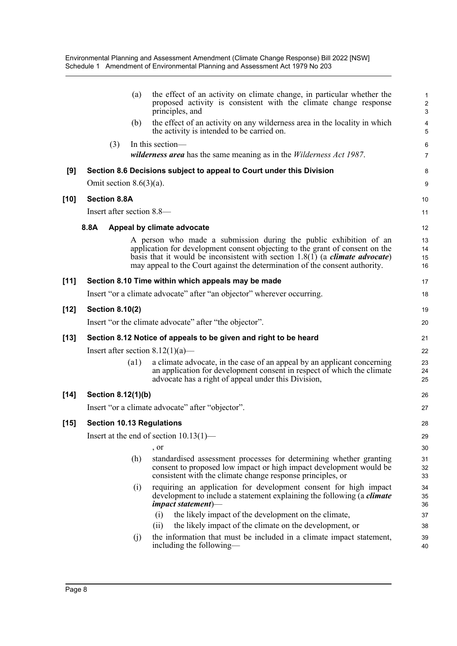|        |      |                        | (a)                        | the effect of an activity on climate change, in particular whether the<br>proposed activity is consistent with the climate change response<br>principles, and                                                                                                                                                              | 1<br>$\overline{c}$<br>3 |
|--------|------|------------------------|----------------------------|----------------------------------------------------------------------------------------------------------------------------------------------------------------------------------------------------------------------------------------------------------------------------------------------------------------------------|--------------------------|
|        |      |                        | (b)                        | the effect of an activity on any wilderness area in the locality in which<br>the activity is intended to be carried on.                                                                                                                                                                                                    | 4<br>5                   |
|        |      | (3)                    |                            | In this section-                                                                                                                                                                                                                                                                                                           | 6                        |
|        |      |                        |                            | <i>wilderness area</i> has the same meaning as in the <i>Wilderness Act 1987</i> .                                                                                                                                                                                                                                         | $\overline{7}$           |
| [9]    |      |                        |                            | Section 8.6 Decisions subject to appeal to Court under this Division                                                                                                                                                                                                                                                       | 8                        |
|        |      |                        | Omit section $8.6(3)(a)$ . |                                                                                                                                                                                                                                                                                                                            | 9                        |
| [10]   |      | <b>Section 8.8A</b>    |                            |                                                                                                                                                                                                                                                                                                                            | 10                       |
|        |      |                        |                            | Insert after section 8.8-                                                                                                                                                                                                                                                                                                  | 11                       |
|        | 8.8A |                        |                            | Appeal by climate advocate                                                                                                                                                                                                                                                                                                 | 12                       |
|        |      |                        |                            | A person who made a submission during the public exhibition of an<br>application for development consent objecting to the grant of consent on the<br>basis that it would be inconsistent with section $1.8(1)$ (a <i>climate advocate</i> )<br>may appeal to the Court against the determination of the consent authority. | 13<br>14<br>15<br>16     |
| [11]   |      |                        |                            | Section 8.10 Time within which appeals may be made                                                                                                                                                                                                                                                                         | 17                       |
|        |      |                        |                            | Insert "or a climate advocate" after "an objector" wherever occurring.                                                                                                                                                                                                                                                     | 18                       |
| [12]   |      | <b>Section 8.10(2)</b> |                            |                                                                                                                                                                                                                                                                                                                            | 19                       |
|        |      |                        |                            | Insert "or the climate advocate" after "the objector".                                                                                                                                                                                                                                                                     | 20                       |
| [13]   |      |                        |                            | Section 8.12 Notice of appeals to be given and right to be heard                                                                                                                                                                                                                                                           | 21                       |
|        |      |                        |                            | Insert after section $8.12(1)(a)$ —                                                                                                                                                                                                                                                                                        | 22                       |
|        |      |                        | (a1)                       | a climate advocate, in the case of an appeal by an applicant concerning<br>an application for development consent in respect of which the climate<br>advocate has a right of appeal under this Division,                                                                                                                   | 23<br>24<br>25           |
| $[14]$ |      |                        | Section 8.12(1)(b)         |                                                                                                                                                                                                                                                                                                                            | 26                       |
|        |      |                        |                            | Insert "or a climate advocate" after "objector".                                                                                                                                                                                                                                                                           | 27                       |
| [15]   |      |                        |                            | <b>Section 10.13 Regulations</b>                                                                                                                                                                                                                                                                                           | 28                       |
|        |      |                        |                            | Insert at the end of section 10.13(1)-                                                                                                                                                                                                                                                                                     | 29                       |
|        |      |                        |                            | , or                                                                                                                                                                                                                                                                                                                       | 30                       |
|        |      |                        | (h)                        | standardised assessment processes for determining whether granting<br>consent to proposed low impact or high impact development would be<br>consistent with the climate change response principles, or                                                                                                                     | 31<br>32<br>33           |
|        |      |                        | (i)                        | requiring an application for development consent for high impact<br>development to include a statement explaining the following (a <i>climate</i><br>$\mu$ impact statement $\rho$ —                                                                                                                                       | 34<br>35<br>36           |
|        |      |                        |                            | the likely impact of the development on the climate,<br>(i)                                                                                                                                                                                                                                                                | 37                       |
|        |      |                        |                            | the likely impact of the climate on the development, or<br>(ii)                                                                                                                                                                                                                                                            | 38                       |
|        |      |                        | (i)                        | the information that must be included in a climate impact statement,<br>including the following—                                                                                                                                                                                                                           | 39<br>40                 |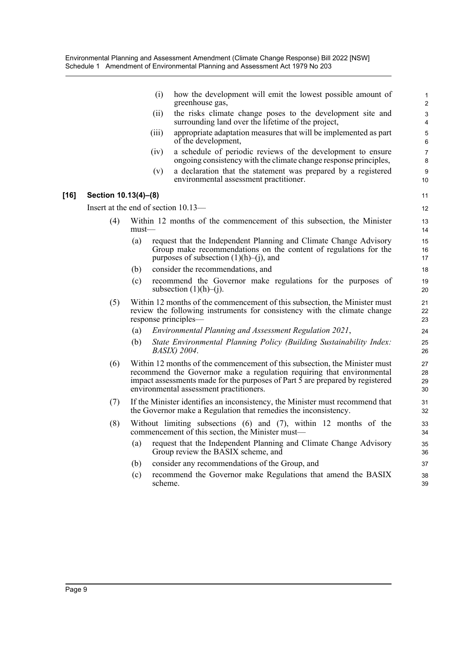|        |                                       |          | (i)     | how the development will emit the lowest possible amount of<br>greenhouse gas,                                                                                                                                                                                                          | $\mathbf{1}$<br>2                           |
|--------|---------------------------------------|----------|---------|-----------------------------------------------------------------------------------------------------------------------------------------------------------------------------------------------------------------------------------------------------------------------------------------|---------------------------------------------|
|        |                                       |          | (ii)    | the risks climate change poses to the development site and<br>surrounding land over the lifetime of the project,                                                                                                                                                                        | $\ensuremath{\mathsf{3}}$<br>$\overline{4}$ |
|        |                                       |          | (iii)   | appropriate adaptation measures that will be implemented as part<br>of the development,                                                                                                                                                                                                 | 5<br>6                                      |
|        |                                       |          | (iv)    | a schedule of periodic reviews of the development to ensure<br>ongoing consistency with the climate change response principles,                                                                                                                                                         | $\overline{7}$<br>8                         |
|        |                                       |          | (v)     | a declaration that the statement was prepared by a registered<br>environmental assessment practitioner.                                                                                                                                                                                 | 9<br>10                                     |
| $[16]$ | Section 10.13(4)-(8)                  |          |         |                                                                                                                                                                                                                                                                                         | 11                                          |
|        | Insert at the end of section $10.13-$ |          |         |                                                                                                                                                                                                                                                                                         | 12                                          |
|        | (4)                                   | $must$ — |         | Within 12 months of the commencement of this subsection, the Minister                                                                                                                                                                                                                   | 13<br>14                                    |
|        |                                       | (a)      |         | request that the Independent Planning and Climate Change Advisory<br>Group make recommendations on the content of regulations for the<br>purposes of subsection $(1)(h)$ –(j), and                                                                                                      | 15<br>16<br>17                              |
|        |                                       | (b)      |         | consider the recommendations, and                                                                                                                                                                                                                                                       | 18                                          |
|        |                                       | (c)      |         | recommend the Governor make regulations for the purposes of<br>subsection $(1)(h)$ – $(j)$ .                                                                                                                                                                                            | 19<br>20                                    |
|        | (5)                                   |          |         | Within 12 months of the commencement of this subsection, the Minister must<br>review the following instruments for consistency with the climate change<br>response principles—                                                                                                          | 21<br>22<br>23                              |
|        |                                       | (a)      |         | Environmental Planning and Assessment Regulation 2021,                                                                                                                                                                                                                                  | 24                                          |
|        |                                       | (b)      |         | State Environmental Planning Policy (Building Sustainability Index:<br><i>BASIX</i> ) 2004.                                                                                                                                                                                             | 25<br>26                                    |
|        | (6)                                   |          |         | Within 12 months of the commencement of this subsection, the Minister must<br>recommend the Governor make a regulation requiring that environmental<br>impact assessments made for the purposes of Part $\bar{5}$ are prepared by registered<br>environmental assessment practitioners. | 27<br>28<br>29<br>30                        |
|        | (7)                                   |          |         | If the Minister identifies an inconsistency, the Minister must recommend that<br>the Governor make a Regulation that remedies the inconsistency.                                                                                                                                        | 31<br>32                                    |
|        | (8)                                   |          |         | Without limiting subsections $(6)$ and $(7)$ , within 12 months of the<br>commencement of this section, the Minister must-                                                                                                                                                              | 33<br>34                                    |
|        |                                       | (a)      |         | request that the Independent Planning and Climate Change Advisory<br>Group review the BASIX scheme, and                                                                                                                                                                                 | 35<br>36                                    |
|        |                                       | (b)      |         | consider any recommendations of the Group, and                                                                                                                                                                                                                                          | 37                                          |
|        |                                       | (c)      | scheme. | recommend the Governor make Regulations that amend the BASIX                                                                                                                                                                                                                            | 38<br>39                                    |